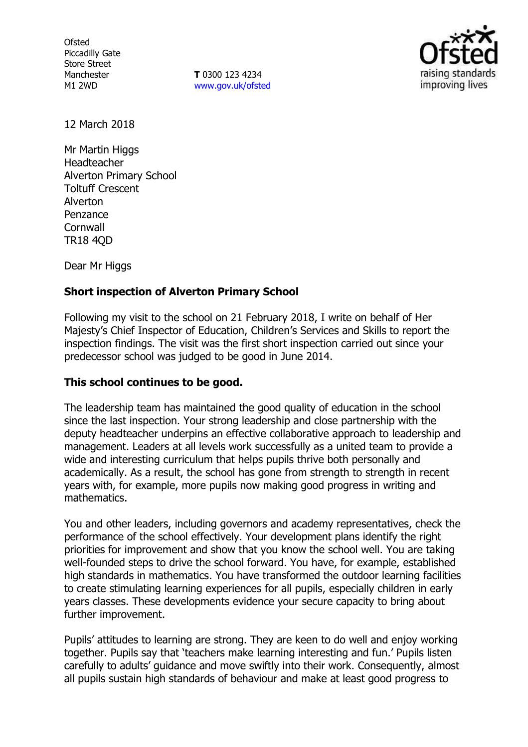**Ofsted** Piccadilly Gate Store Street Manchester M1 2WD

**T** 0300 123 4234 [www.gov.uk/ofsted](http://www.gov.uk/ofsted)



12 March 2018

Mr Martin Higgs Headteacher Alverton Primary School Toltuff Crescent Alverton Penzance **Cornwall** TR18 4QD

Dear Mr Higgs

## **Short inspection of Alverton Primary School**

Following my visit to the school on 21 February 2018, I write on behalf of Her Majesty's Chief Inspector of Education, Children's Services and Skills to report the inspection findings. The visit was the first short inspection carried out since your predecessor school was judged to be good in June 2014.

## **This school continues to be good.**

The leadership team has maintained the good quality of education in the school since the last inspection. Your strong leadership and close partnership with the deputy headteacher underpins an effective collaborative approach to leadership and management. Leaders at all levels work successfully as a united team to provide a wide and interesting curriculum that helps pupils thrive both personally and academically. As a result, the school has gone from strength to strength in recent years with, for example, more pupils now making good progress in writing and mathematics.

You and other leaders, including governors and academy representatives, check the performance of the school effectively. Your development plans identify the right priorities for improvement and show that you know the school well. You are taking well-founded steps to drive the school forward. You have, for example, established high standards in mathematics. You have transformed the outdoor learning facilities to create stimulating learning experiences for all pupils, especially children in early years classes. These developments evidence your secure capacity to bring about further improvement.

Pupils' attitudes to learning are strong. They are keen to do well and enjoy working together. Pupils say that 'teachers make learning interesting and fun.' Pupils listen carefully to adults' guidance and move swiftly into their work. Consequently, almost all pupils sustain high standards of behaviour and make at least good progress to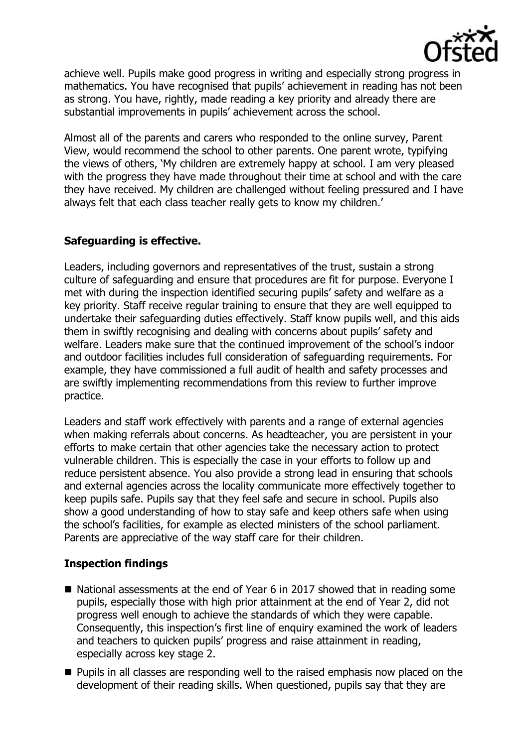

achieve well. Pupils make good progress in writing and especially strong progress in mathematics. You have recognised that pupils' achievement in reading has not been as strong. You have, rightly, made reading a key priority and already there are substantial improvements in pupils' achievement across the school.

Almost all of the parents and carers who responded to the online survey, Parent View, would recommend the school to other parents. One parent wrote, typifying the views of others, 'My children are extremely happy at school. I am very pleased with the progress they have made throughout their time at school and with the care they have received. My children are challenged without feeling pressured and I have always felt that each class teacher really gets to know my children.'

# **Safeguarding is effective.**

Leaders, including governors and representatives of the trust, sustain a strong culture of safeguarding and ensure that procedures are fit for purpose. Everyone I met with during the inspection identified securing pupils' safety and welfare as a key priority. Staff receive regular training to ensure that they are well equipped to undertake their safeguarding duties effectively. Staff know pupils well, and this aids them in swiftly recognising and dealing with concerns about pupils' safety and welfare. Leaders make sure that the continued improvement of the school's indoor and outdoor facilities includes full consideration of safeguarding requirements. For example, they have commissioned a full audit of health and safety processes and are swiftly implementing recommendations from this review to further improve practice.

Leaders and staff work effectively with parents and a range of external agencies when making referrals about concerns. As headteacher, you are persistent in your efforts to make certain that other agencies take the necessary action to protect vulnerable children. This is especially the case in your efforts to follow up and reduce persistent absence. You also provide a strong lead in ensuring that schools and external agencies across the locality communicate more effectively together to keep pupils safe. Pupils say that they feel safe and secure in school. Pupils also show a good understanding of how to stay safe and keep others safe when using the school's facilities, for example as elected ministers of the school parliament. Parents are appreciative of the way staff care for their children.

# **Inspection findings**

- National assessments at the end of Year 6 in 2017 showed that in reading some pupils, especially those with high prior attainment at the end of Year 2, did not progress well enough to achieve the standards of which they were capable. Consequently, this inspection's first line of enquiry examined the work of leaders and teachers to quicken pupils' progress and raise attainment in reading, especially across key stage 2.
- **Pupils in all classes are responding well to the raised emphasis now placed on the** development of their reading skills. When questioned, pupils say that they are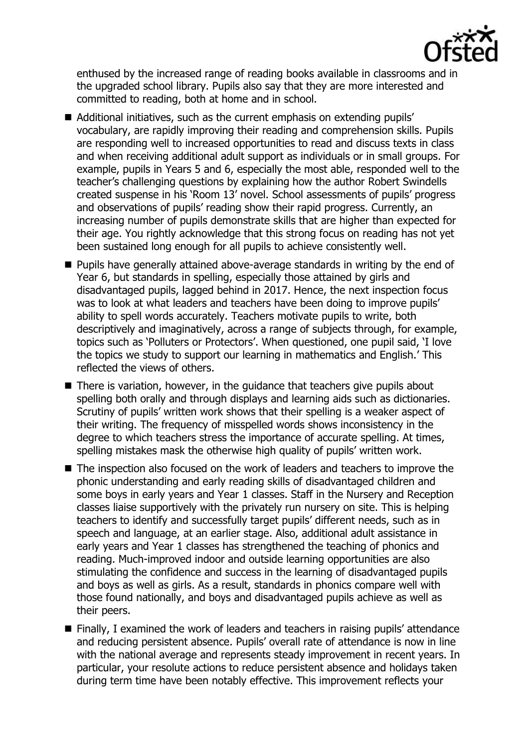

enthused by the increased range of reading books available in classrooms and in the upgraded school library. Pupils also say that they are more interested and committed to reading, both at home and in school.

- Additional initiatives, such as the current emphasis on extending pupils' vocabulary, are rapidly improving their reading and comprehension skills. Pupils are responding well to increased opportunities to read and discuss texts in class and when receiving additional adult support as individuals or in small groups. For example, pupils in Years 5 and 6, especially the most able, responded well to the teacher's challenging questions by explaining how the author Robert Swindells created suspense in his 'Room 13' novel. School assessments of pupils' progress and observations of pupils' reading show their rapid progress. Currently, an increasing number of pupils demonstrate skills that are higher than expected for their age. You rightly acknowledge that this strong focus on reading has not yet been sustained long enough for all pupils to achieve consistently well.
- **Pupils have generally attained above-average standards in writing by the end of** Year 6, but standards in spelling, especially those attained by girls and disadvantaged pupils, lagged behind in 2017. Hence, the next inspection focus was to look at what leaders and teachers have been doing to improve pupils' ability to spell words accurately. Teachers motivate pupils to write, both descriptively and imaginatively, across a range of subjects through, for example, topics such as 'Polluters or Protectors'. When questioned, one pupil said, 'I love the topics we study to support our learning in mathematics and English.' This reflected the views of others.
- There is variation, however, in the quidance that teachers give pupils about spelling both orally and through displays and learning aids such as dictionaries. Scrutiny of pupils' written work shows that their spelling is a weaker aspect of their writing. The frequency of misspelled words shows inconsistency in the degree to which teachers stress the importance of accurate spelling. At times, spelling mistakes mask the otherwise high quality of pupils' written work.
- The inspection also focused on the work of leaders and teachers to improve the phonic understanding and early reading skills of disadvantaged children and some boys in early years and Year 1 classes. Staff in the Nursery and Reception classes liaise supportively with the privately run nursery on site. This is helping teachers to identify and successfully target pupils' different needs, such as in speech and language, at an earlier stage. Also, additional adult assistance in early years and Year 1 classes has strengthened the teaching of phonics and reading. Much-improved indoor and outside learning opportunities are also stimulating the confidence and success in the learning of disadvantaged pupils and boys as well as girls. As a result, standards in phonics compare well with those found nationally, and boys and disadvantaged pupils achieve as well as their peers.
- Finally, I examined the work of leaders and teachers in raising pupils' attendance and reducing persistent absence. Pupils' overall rate of attendance is now in line with the national average and represents steady improvement in recent years. In particular, your resolute actions to reduce persistent absence and holidays taken during term time have been notably effective. This improvement reflects your